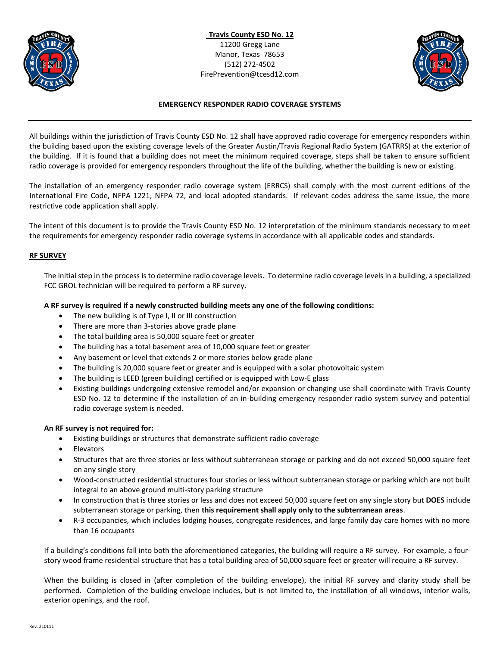



# **EMERGENCY RESPONDER RADIO COVERAGE SYSTEMS**

All buildings within the jurisdiction of Travis County ESD No. 12 shall have approved radio coverage for emergency responders within the building based upon the existing coverage levels of the Greater Austin/Travis Regional Radio System (GATRRS) at the exterior of the building. If it is found that a building does not meet the minimum required coverage, steps shall be taken to ensure sufficient radio coverage is provided for emergency responders throughout the life of the building, whether the building is new or existing.

The installation of an emergency responder radio coverage system (ERRCS) shall comply with the most current editions of the International Fire Code, NFPA 1221, NFPA 72, and local adopted standards. If relevant codes address the same issue, the more restrictive code application shall apply.

The intent of this document is to provide the Travis County ESD No. 12 interpretation of the minimum standards necessary to meet the requirements for emergency responder radio coverage systems in accordance with all applicable codes and standards.

# **RF SURVEY**

The initial step in the process is to determine radio coverage levels. To determine radio coverage levels in a building, a specialized FCC GROL technician will be required to perform a RF survey.

# **A RF survey is required if a newly constructed building meets any one of the following conditions:**

- The new building is of Type I, II or III construction
- There are more than 3-stories above grade plane
- The total building area is 50,000 square feet or greater
- The building has a total basement area of 10,000 square feet or greater
- Any basement or level that extends 2 or more stories below grade plane
- The building is 20,000 square feet or greater and is equipped with a solar photovoltaic system
- The building is LEED (green building) certified or is equipped with Low-E glass
- Existing buildings undergoing extensive remodel and/or expansion or changing use shall coordinate with Travis County ESD No. 12 to determine if the installation of an in-building emergency responder radio system survey and potential radio coverage system is needed.

## **An RF survey is not required for:**

- Existing buildings or structures that demonstrate sufficient radio coverage
- Elevators
- Structures that are three stories or less without subterranean storage or parking and do not exceed 50,000 square feet on any single story
- Wood-constructed residential structures four stories or less without subterranean storage or parking which are not built integral to an above ground multi-story parking structure
- In construction that is three stories or less and does not exceed 50,000 square feet on any single story but **DOES** include subterranean storage or parking, then **this requirement shall apply only to the subterranean areas**.
- R-3 occupancies, which includes lodging houses, congregate residences, and large family day care homes with no more than 16 occupants

If a building's conditions fall into both the aforementioned categories, the building will require a RF survey. For example, a fourstory wood frame residential structure that has a total building area of 50,000 square feet or greater will require a RF survey.

When the building is closed in (after completion of the building envelope), the initial RF survey and clarity study shall be performed. Completion of the building envelope includes, but is not limited to, the installation of all windows, interior walls, exterior openings, and the roof.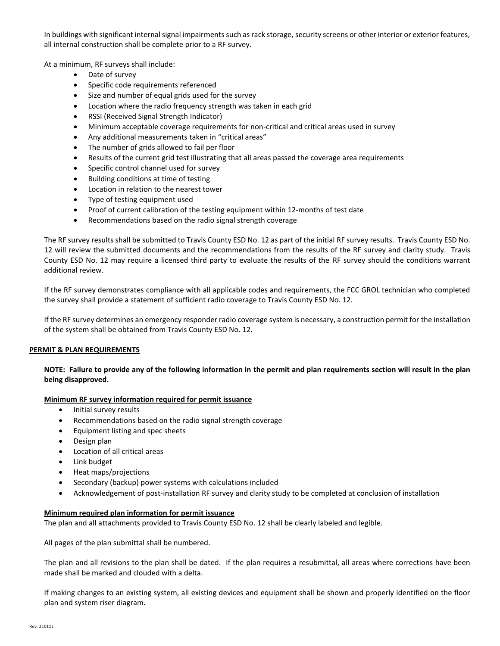In buildings with significant internal signal impairments such as rack storage, security screens or other interior or exterior features, all internal construction shall be complete prior to a RF survey.

At a minimum, RF surveys shall include:

- Date of survey
- Specific code requirements referenced
- Size and number of equal grids used for the survey
- Location where the radio frequency strength was taken in each grid
- RSSI (Received Signal Strength Indicator)
- Minimum acceptable coverage requirements for non-critical and critical areas used in survey
- Any additional measurements taken in "critical areas"
- The number of grids allowed to fail per floor
- Results of the current grid test illustrating that all areas passed the coverage area requirements
- Specific control channel used for survey
- Building conditions at time of testing
- Location in relation to the nearest tower
- Type of testing equipment used
- Proof of current calibration of the testing equipment within 12-months of test date
- Recommendations based on the radio signal strength coverage

The RF survey results shall be submitted to Travis County ESD No. 12 as part of the initial RF survey results. Travis County ESD No. 12 will review the submitted documents and the recommendations from the results of the RF survey and clarity study. Travis County ESD No. 12 may require a licensed third party to evaluate the results of the RF survey should the conditions warrant additional review.

If the RF survey demonstrates compliance with all applicable codes and requirements, the FCC GROL technician who completed the survey shall provide a statement of sufficient radio coverage to Travis County ESD No. 12.

If the RF survey determines an emergency responder radio coverage system is necessary, a construction permit for the installation of the system shall be obtained from Travis County ESD No. 12.

## **PERMIT & PLAN REQUIREMENTS**

**NOTE: Failure to provide any of the following information in the permit and plan requirements section will result in the plan being disapproved.**

## **Minimum RF survey information required for permit issuance**

- Initial survey results
- Recommendations based on the radio signal strength coverage
- Equipment listing and spec sheets
- Design plan
- Location of all critical areas
- Link budget
- Heat maps/projections
- Secondary (backup) power systems with calculations included
- Acknowledgement of post-installation RF survey and clarity study to be completed at conclusion of installation

## **Minimum required plan information for permit issuance**

The plan and all attachments provided to Travis County ESD No. 12 shall be clearly labeled and legible.

All pages of the plan submittal shall be numbered.

The plan and all revisions to the plan shall be dated. If the plan requires a resubmittal, all areas where corrections have been made shall be marked and clouded with a delta.

If making changes to an existing system, all existing devices and equipment shall be shown and properly identified on the floor plan and system riser diagram.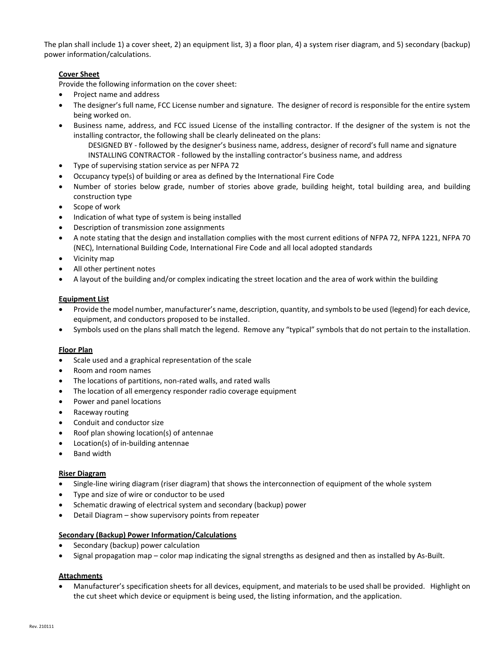The plan shall include 1) a cover sheet, 2) an equipment list, 3) a floor plan, 4) a system riser diagram, and 5) secondary (backup) power information/calculations.

## **Cover Sheet**

Provide the following information on the cover sheet:

- Project name and address
- The designer's full name, FCC License number and signature. The designer of record is responsible for the entire system being worked on.
- Business name, address, and FCC issued License of the installing contractor. If the designer of the system is not the installing contractor, the following shall be clearly delineated on the plans:
	- DESIGNED BY followed by the designer's business name, address, designer of record's full name and signature INSTALLING CONTRACTOR - followed by the installing contractor's business name, and address
- Type of supervising station service as per NFPA 72
- Occupancy type(s) of building or area as defined by the International Fire Code
- Number of stories below grade, number of stories above grade, building height, total building area, and building construction type
- Scope of work
- Indication of what type of system is being installed
- Description of transmission zone assignments
- A note stating that the design and installation complies with the most current editions of NFPA 72, NFPA 1221, NFPA 70 (NEC), International Building Code, International Fire Code and all local adopted standards
- Vicinity map
- All other pertinent notes
- A layout of the building and/or complex indicating the street location and the area of work within the building

## **Equipment List**

- Provide the model number, manufacturer's name, description, quantity, and symbols to be used (legend) for each device, equipment, and conductors proposed to be installed.
- Symbols used on the plans shall match the legend. Remove any "typical" symbols that do not pertain to the installation.

## **Floor Plan**

- Scale used and a graphical representation of the scale
- Room and room names
- The locations of partitions, non-rated walls, and rated walls
- The location of all emergency responder radio coverage equipment
- Power and panel locations
- Raceway routing
- Conduit and conductor size
- Roof plan showing location(s) of antennae
- Location(s) of in-building antennae
- Band width

### **Riser Diagram**

- Single-line wiring diagram (riser diagram) that shows the interconnection of equipment of the whole system
- Type and size of wire or conductor to be used
- Schematic drawing of electrical system and secondary (backup) power
- Detail Diagram show supervisory points from repeater

### **Secondary (Backup) Power Information/Calculations**

- Secondary (backup) power calculation
- Signal propagation map color map indicating the signal strengths as designed and then as installed by As-Built.

### **Attachments**

• Manufacturer's specification sheets for all devices, equipment, and materials to be used shall be provided. Highlight on the cut sheet which device or equipment is being used, the listing information, and the application.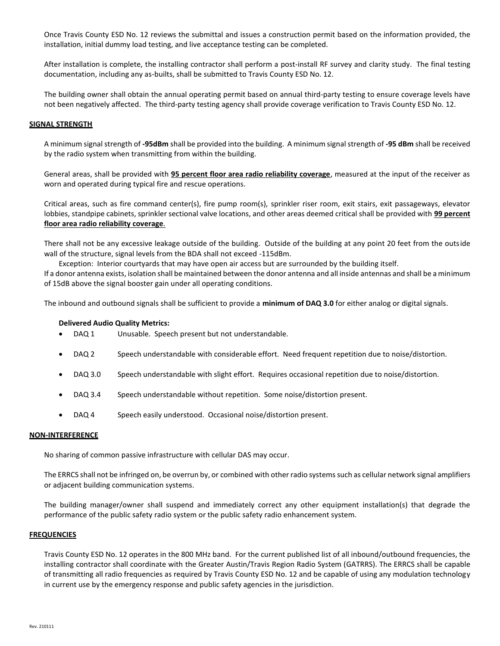Once Travis County ESD No. 12 reviews the submittal and issues a construction permit based on the information provided, the installation, initial dummy load testing, and live acceptance testing can be completed.

After installation is complete, the installing contractor shall perform a post-install RF survey and clarity study. The final testing documentation, including any as-builts, shall be submitted to Travis County ESD No. 12.

The building owner shall obtain the annual operating permit based on annual third-party testing to ensure coverage levels have not been negatively affected. The third-party testing agency shall provide coverage verification to Travis County ESD No. 12.

### **SIGNAL STRENGTH**

A minimum signal strength of **-95dBm** shall be provided into the building. A minimum signal strength of **-95 dBm** shall be received by the radio system when transmitting from within the building.

General areas, shall be provided with **95 percent floor area radio reliability coverage**, measured at the input of the receiver as worn and operated during typical fire and rescue operations.

Critical areas, such as fire command center(s), fire pump room(s), sprinkler riser room, exit stairs, exit passageways, elevator lobbies, standpipe cabinets, sprinkler sectional valve locations, and other areas deemed critical shall be provided with **99 percent floor area radio reliability coverage**.

There shall not be any excessive leakage outside of the building. Outside of the building at any point 20 feet from the outside wall of the structure, signal levels from the BDA shall not exceed -115dBm.

Exception: Interior courtyards that may have open air access but are surrounded by the building itself.

If a donor antenna exists, isolation shall be maintained between the donor antenna and all inside antennas and shall be a minimum of 15dB above the signal booster gain under all operating conditions.

The inbound and outbound signals shall be sufficient to provide a **minimum of DAQ 3.0** for either analog or digital signals.

### **Delivered Audio Quality Metrics:**

- DAQ 1 Unusable. Speech present but not understandable.
- DAQ 2 Speech understandable with considerable effort. Need frequent repetition due to noise/distortion.
- DAQ 3.0 Speech understandable with slight effort. Requires occasional repetition due to noise/distortion.
- DAQ 3.4 Speech understandable without repetition. Some noise/distortion present.
- DAQ 4 Speech easily understood. Occasional noise/distortion present.

### **NON-INTERFERENCE**

No sharing of common passive infrastructure with cellular DAS may occur.

The ERRCS shall not be infringed on, be overrun by, or combined with other radio systems such as cellular network signal amplifiers or adjacent building communication systems.

The building manager/owner shall suspend and immediately correct any other equipment installation(s) that degrade the performance of the public safety radio system or the public safety radio enhancement system.

### **FREQUENCIES**

Travis County ESD No. 12 operates in the 800 MHz band. For the current published list of all inbound/outbound frequencies, the installing contractor shall coordinate with the Greater Austin/Travis Region Radio System (GATRRS). The ERRCS shall be capable of transmitting all radio frequencies as required by Travis County ESD No. 12 and be capable of using any modulation technology in current use by the emergency response and public safety agencies in the jurisdiction.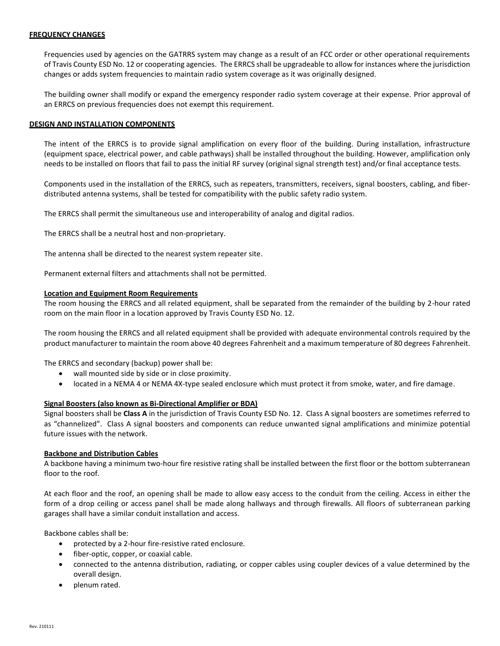## **FREQUENCY CHANGES**

Frequencies used by agencies on the GATRRS system may change as a result of an FCC order or other operational requirements of Travis County ESD No. 12 or cooperating agencies. The ERRCS shall be upgradeable to allow for instances where the jurisdiction changes or adds system frequencies to maintain radio system coverage as it was originally designed.

The building owner shall modify or expand the emergency responder radio system coverage at their expense. Prior approval of an ERRCS on previous frequencies does not exempt this requirement.

### **DESIGN AND INSTALLATION COMPONENTS**

The intent of the ERRCS is to provide signal amplification on every floor of the building. During installation, infrastructure (equipment space, electrical power, and cable pathways) shall be installed throughout the building. However, amplification only needs to be installed on floors that fail to pass the initial RF survey (original signal strength test) and/or final acceptance tests.

Components used in the installation of the ERRCS, such as repeaters, transmitters, receivers, signal boosters, cabling, and fiberdistributed antenna systems, shall be tested for compatibility with the public safety radio system.

The ERRCS shall permit the simultaneous use and interoperability of analog and digital radios.

The ERRCS shall be a neutral host and non-proprietary.

The antenna shall be directed to the nearest system repeater site.

Permanent external filters and attachments shall not be permitted.

## **Location and Equipment Room Requirements**

The room housing the ERRCS and all related equipment, shall be separated from the remainder of the building by 2-hour rated room on the main floor in a location approved by Travis County ESD No. 12.

The room housing the ERRCS and all related equipment shall be provided with adequate environmental controls required by the product manufacturer to maintain the room above 40 degrees Fahrenheit and a maximum temperature of 80 degrees Fahrenheit.

The ERRCS and secondary (backup) power shall be:

- wall mounted side by side or in close proximity.
- located in a NEMA 4 or NEMA 4X-type sealed enclosure which must protect it from smoke, water, and fire damage.

## **Signal Boosters (also known as Bi-Directional Amplifier or BDA)**

Signal boosters shall be **Class A** in the jurisdiction of Travis County ESD No. 12. Class A signal boosters are sometimes referred to as "channelized". Class A signal boosters and components can reduce unwanted signal amplifications and minimize potential future issues with the network.

### **Backbone and Distribution Cables**

A backbone having a minimum two-hour fire resistive rating shall be installed between the first floor or the bottom subterranean floor to the roof.

At each floor and the roof, an opening shall be made to allow easy access to the conduit from the ceiling. Access in either the form of a drop ceiling or access panel shall be made along hallways and through firewalls. All floors of subterranean parking garages shall have a similar conduit installation and access.

Backbone cables shall be:

- protected by a 2-hour fire-resistive rated enclosure.
- fiber-optic, copper, or coaxial cable.
- connected to the antenna distribution, radiating, or copper cables using coupler devices of a value determined by the overall design.
- plenum rated.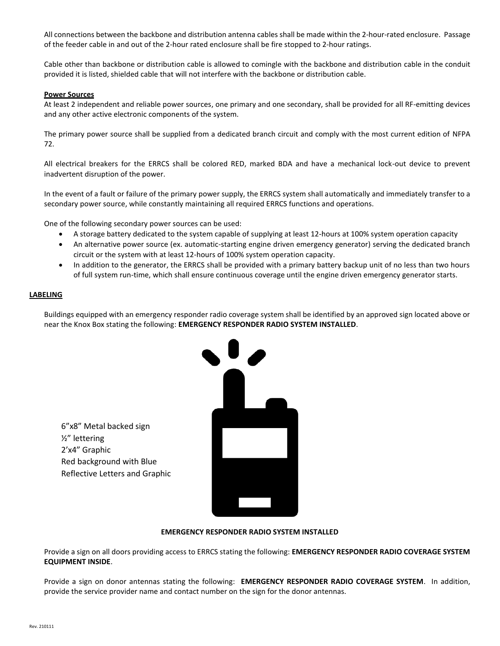All connections between the backbone and distribution antenna cables shall be made within the 2-hour-rated enclosure. Passage of the feeder cable in and out of the 2-hour rated enclosure shall be fire stopped to 2-hour ratings.

Cable other than backbone or distribution cable is allowed to comingle with the backbone and distribution cable in the conduit provided it is listed, shielded cable that will not interfere with the backbone or distribution cable.

## **Power Sources**

At least 2 independent and reliable power sources, one primary and one secondary, shall be provided for all RF-emitting devices and any other active electronic components of the system.

The primary power source shall be supplied from a dedicated branch circuit and comply with the most current edition of NFPA 72.

All electrical breakers for the ERRCS shall be colored RED, marked BDA and have a mechanical lock-out device to prevent inadvertent disruption of the power.

In the event of a fault or failure of the primary power supply, the ERRCS system shall automatically and immediately transfer to a secondary power source, while constantly maintaining all required ERRCS functions and operations.

One of the following secondary power sources can be used:

- A storage battery dedicated to the system capable of supplying at least 12-hours at 100% system operation capacity
- An alternative power source (ex. automatic-starting engine driven emergency generator) serving the dedicated branch circuit or the system with at least 12-hours of 100% system operation capacity.
- In addition to the generator, the ERRCS shall be provided with a primary battery backup unit of no less than two hours of full system run-time, which shall ensure continuous coverage until the engine driven emergency generator starts.

## **LABELING**

Buildings equipped with an emergency responder radio coverage system shall be identified by an approved sign located above or near the Knox Box stating the following: **EMERGENCY RESPONDER RADIO SYSTEM INSTALLED**.

6"x8" Metal backed sign ½" lettering 2'x4" Graphic Red background with Blue Reflective Letters and Graphic



### **EMERGENCY RESPONDER RADIO SYSTEM INSTALLED**

Provide a sign on all doors providing access to ERRCS stating the following: **EMERGENCY RESPONDER RADIO COVERAGE SYSTEM EQUIPMENT INSIDE**.

Provide a sign on donor antennas stating the following: **EMERGENCY RESPONDER RADIO COVERAGE SYSTEM**. In addition, provide the service provider name and contact number on the sign for the donor antennas.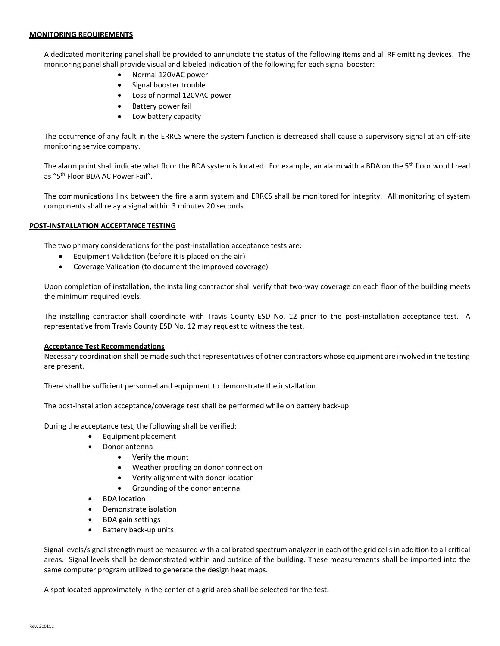## **MONITORING REQUIREMENTS**

A dedicated monitoring panel shall be provided to annunciate the status of the following items and all RF emitting devices. The monitoring panel shall provide visual and labeled indication of the following for each signal booster:

- Normal 120VAC power
- Signal booster trouble
- Loss of normal 120VAC power
- Battery power fail
- Low battery capacity

The occurrence of any fault in the ERRCS where the system function is decreased shall cause a supervisory signal at an off-site monitoring service company.

The alarm point shall indicate what floor the BDA system is located. For example, an alarm with a BDA on the 5<sup>th</sup> floor would read as "5th Floor BDA AC Power Fail".

The communications link between the fire alarm system and ERRCS shall be monitored for integrity. All monitoring of system components shall relay a signal within 3 minutes 20 seconds.

## **POST-INSTALLATION ACCEPTANCE TESTING**

The two primary considerations for the post-installation acceptance tests are:

- Equipment Validation (before it is placed on the air)
- Coverage Validation (to document the improved coverage)

Upon completion of installation, the installing contractor shall verify that two-way coverage on each floor of the building meets the minimum required levels.

The installing contractor shall coordinate with Travis County ESD No. 12 prior to the post-installation acceptance test. A representative from Travis County ESD No. 12 may request to witness the test.

### **Acceptance Test Recommendations**

Necessary coordination shall be made such that representatives of other contractors whose equipment are involved in the testing are present.

There shall be sufficient personnel and equipment to demonstrate the installation.

The post-installation acceptance/coverage test shall be performed while on battery back-up.

During the acceptance test, the following shall be verified:

- Equipment placement
- Donor antenna
	- Verify the mount
	- Weather proofing on donor connection
	- Verify alignment with donor location
	- Grounding of the donor antenna.
- BDA location
- Demonstrate isolation
- BDA gain settings
- Battery back-up units

Signal levels/signal strength must be measured with a calibrated spectrum analyzer in each of the grid cells in addition to all critical areas. Signal levels shall be demonstrated within and outside of the building. These measurements shall be imported into the same computer program utilized to generate the design heat maps.

A spot located approximately in the center of a grid area shall be selected for the test.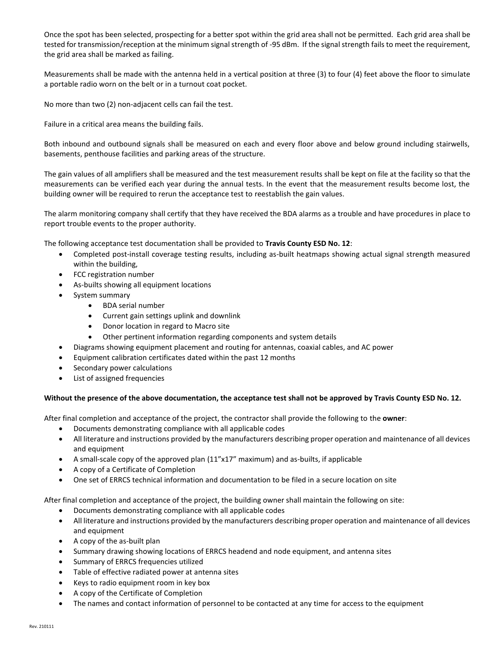Once the spot has been selected, prospecting for a better spot within the grid area shall not be permitted. Each grid area shall be tested for transmission/reception at the minimum signal strength of -95 dBm. If the signal strength fails to meet the requirement, the grid area shall be marked as failing.

Measurements shall be made with the antenna held in a vertical position at three (3) to four (4) feet above the floor to simulate a portable radio worn on the belt or in a turnout coat pocket.

No more than two (2) non-adjacent cells can fail the test.

Failure in a critical area means the building fails.

Both inbound and outbound signals shall be measured on each and every floor above and below ground including stairwells, basements, penthouse facilities and parking areas of the structure.

The gain values of all amplifiers shall be measured and the test measurement results shall be kept on file at the facility so that the measurements can be verified each year during the annual tests. In the event that the measurement results become lost, the building owner will be required to rerun the acceptance test to reestablish the gain values.

The alarm monitoring company shall certify that they have received the BDA alarms as a trouble and have procedures in place to report trouble events to the proper authority.

The following acceptance test documentation shall be provided to **Travis County ESD No. 12**:

- Completed post-install coverage testing results, including as-built heatmaps showing actual signal strength measured within the building,
- FCC registration number
- As-builts showing all equipment locations
- System summary
	- BDA serial number
	- Current gain settings uplink and downlink
	- Donor location in regard to Macro site
	- Other pertinent information regarding components and system details
	- Diagrams showing equipment placement and routing for antennas, coaxial cables, and AC power
- Equipment calibration certificates dated within the past 12 months
- Secondary power calculations
- List of assigned frequencies

### **Without the presence of the above documentation, the acceptance test shall not be approved by Travis County ESD No. 12.**

After final completion and acceptance of the project, the contractor shall provide the following to the **owner**:

- Documents demonstrating compliance with all applicable codes
- All literature and instructions provided by the manufacturers describing proper operation and maintenance of all devices and equipment
- A small-scale copy of the approved plan (11"x17" maximum) and as-builts, if applicable
- A copy of a Certificate of Completion
- One set of ERRCS technical information and documentation to be filed in a secure location on site

After final completion and acceptance of the project, the building owner shall maintain the following on site:

- Documents demonstrating compliance with all applicable codes
- All literature and instructions provided by the manufacturers describing proper operation and maintenance of all devices and equipment
- A copy of the as-built plan
- Summary drawing showing locations of ERRCS headend and node equipment, and antenna sites
- Summary of ERRCS frequencies utilized
- Table of effective radiated power at antenna sites
- Keys to radio equipment room in key box
- A copy of the Certificate of Completion
- The names and contact information of personnel to be contacted at any time for access to the equipment